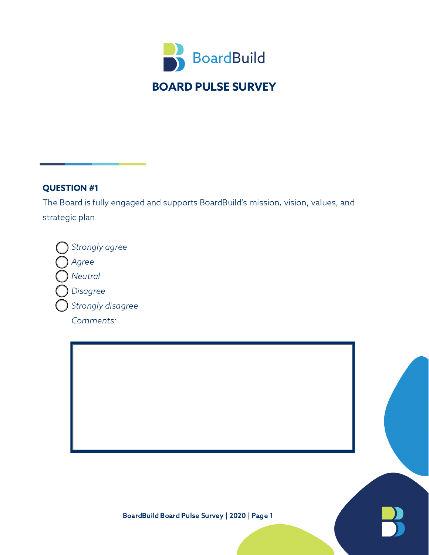

The Board is fully engaged and supports BoardBuild's mission, vision, values, and strategic plan.

Strongly agree Agree **Neutral** Disagree Strongly disagree Comments:

BoardBuild Board Pulse Survey | 2020 | Page 1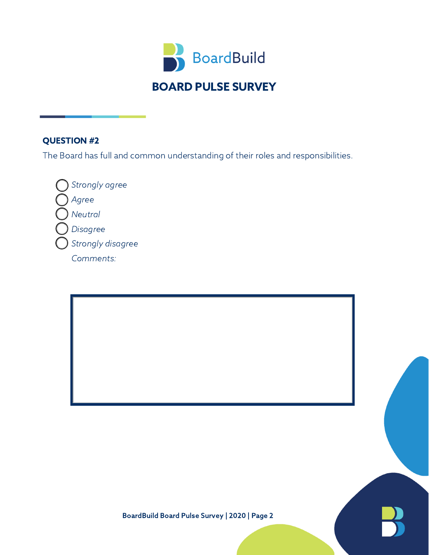

The Board has full and common understanding of their roles and responsibilities.

Strongly agree Agree Neutral Disagree Strongly disagree Comments: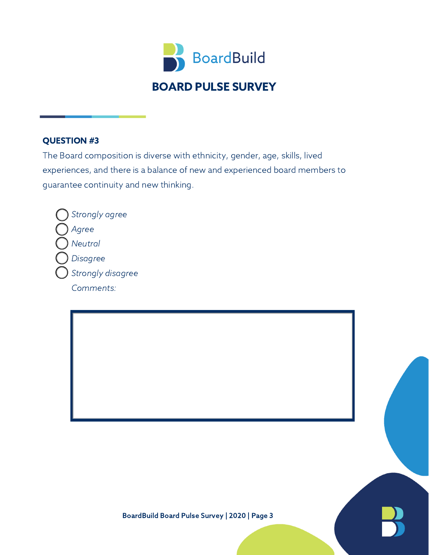

The Board composition is diverse with ethnicity, gender, age, skills, lived experiences, and there is a balance of new and experienced board members to guarantee continuity and new thinking.

Strongly agree Agree **Neutral** Disagree Strongly disagree Comments:

BoardBuild Board Pulse Survey | 2020 | Page 3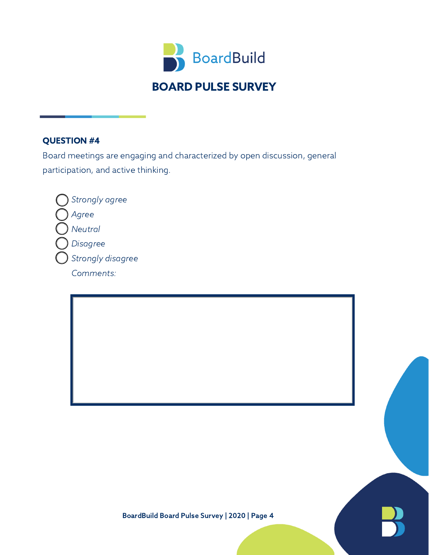

Board meetings are engaging and characterized by open discussion, general participation, and active thinking.

Strongly agree Agree Neutral Disagree Strongly disagree Comments: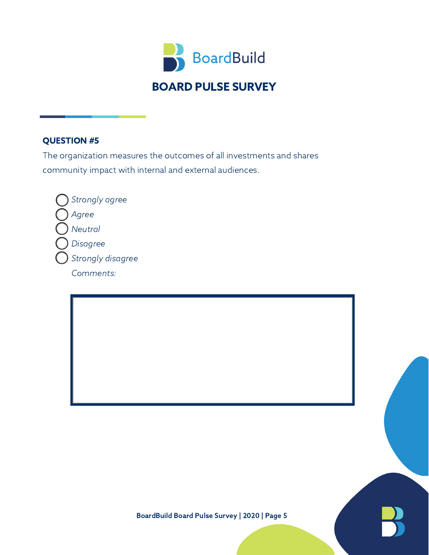

The organization measures the outcomes of all investments and shares community impact with internal and external audiences.

Strongly agree Agree Neutral Disagree Strongly disagree Comments: